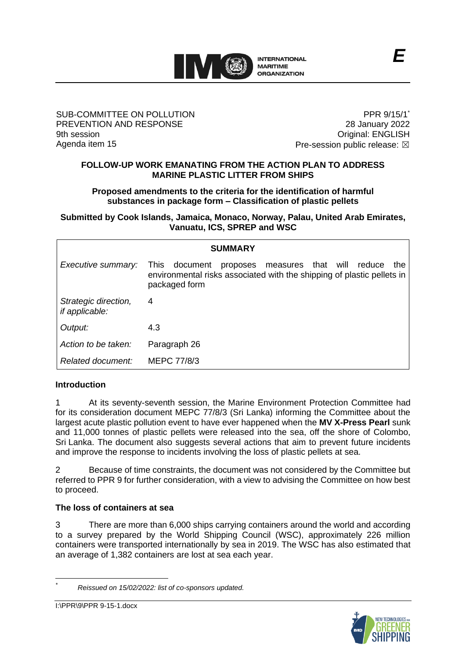

#### SUB-COMMITTEE ON POLLUTION PREVENTION AND RESPONSE 9th session Agenda item 15

PPR 9/15/1 28 January 2022 Original: ENGLISH Pre-session public release:  $\boxtimes$ 

#### **FOLLOW-UP WORK EMANATING FROM THE ACTION PLAN TO ADDRESS MARINE PLASTIC LITTER FROM SHIPS**

**Proposed amendments to the criteria for the identification of harmful substances in package form – Classification of plastic pellets**

**Submitted by Cook Islands, Jamaica, Monaco, Norway, Palau, United Arab Emirates, Vanuatu, ICS, SPREP and WSC**

| <b>SUMMARY</b>                         |                                                                                                                                                                       |
|----------------------------------------|-----------------------------------------------------------------------------------------------------------------------------------------------------------------------|
| Executive summary:                     | <b>This</b><br>document<br>will<br>proposes measures that<br>reduce<br>the<br>environmental risks associated with the shipping of plastic pellets in<br>packaged form |
| Strategic direction,<br>if applicable: | 4                                                                                                                                                                     |
| Output:                                | 4.3                                                                                                                                                                   |
| Action to be taken:                    | Paragraph 26                                                                                                                                                          |
| Related document:                      | MEPC 77/8/3                                                                                                                                                           |

## **Introduction**

1 At its seventy-seventh session, the Marine Environment Protection Committee had for its consideration document MEPC 77/8/3 (Sri Lanka) informing the Committee about the largest acute plastic pollution event to have ever happened when the **MV X-Press Pearl** sunk and 11,000 tonnes of plastic pellets were released into the sea, off the shore of Colombo, Sri Lanka. The document also suggests several actions that aim to prevent future incidents and improve the response to incidents involving the loss of plastic pellets at sea.

2 Because of time constraints, the document was not considered by the Committee but referred to PPR 9 for further consideration, with a view to advising the Committee on how best to proceed.

## **The loss of containers at sea**

3 There are more than 6,000 ships carrying containers around the world and according to a survey prepared by the World Shipping Council (WSC), approximately 226 million containers were transported internationally by sea in 2019. The WSC has also estimated that an average of 1,382 containers are lost at sea each year.



*<sup>\*</sup> Reissued on 15/02/2022: list of co-sponsors updated.*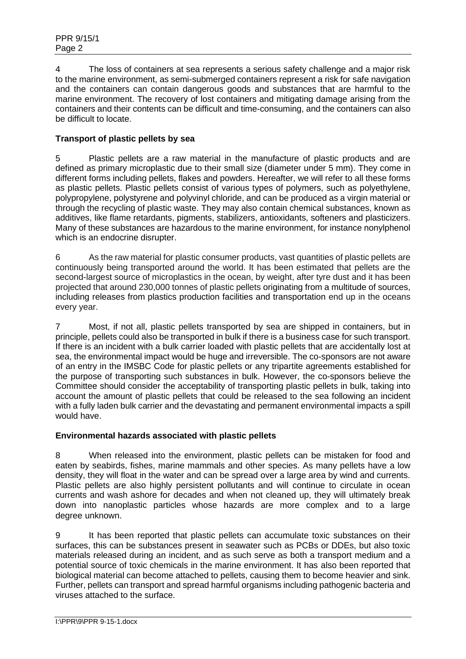4 The loss of containers at sea represents a serious safety challenge and a major risk to the marine environment, as semi-submerged containers represent a risk for safe navigation and the containers can contain dangerous goods and substances that are harmful to the marine environment. The recovery of lost containers and mitigating damage arising from the containers and their contents can be difficult and time-consuming, and the containers can also be difficult to locate.

# **Transport of plastic pellets by sea**

5 Plastic pellets are a raw material in the manufacture of plastic products and are defined as primary microplastic due to their small size (diameter under 5 mm). They come in different forms including pellets, flakes and powders. Hereafter, we will refer to all these forms as plastic pellets. Plastic pellets consist of various types of polymers, such as polyethylene, polypropylene, polystyrene and polyvinyl chloride, and can be produced as a virgin material or through the recycling of plastic waste. They may also contain chemical substances, known as additives, like flame retardants, pigments, stabilizers, antioxidants, softeners and plasticizers. Many of these substances are hazardous to the marine environment, for instance nonylphenol which is an endocrine disrupter.

6 As the raw material for plastic consumer products, vast quantities of plastic pellets are continuously being transported around the world. It has been estimated that pellets are the second-largest source of microplastics in the ocean, by weight, after tyre dust and it has been projected that around 230,000 tonnes of plastic pellets originating from a multitude of sources, including releases from plastics production facilities and transportation end up in the oceans every year.

7 Most, if not all, plastic pellets transported by sea are shipped in containers, but in principle, pellets could also be transported in bulk if there is a business case for such transport. If there is an incident with a bulk carrier loaded with plastic pellets that are accidentally lost at sea, the environmental impact would be huge and irreversible. The co-sponsors are not aware of an entry in the IMSBC Code for plastic pellets or any tripartite agreements established for the purpose of transporting such substances in bulk. However, the co-sponsors believe the Committee should consider the acceptability of transporting plastic pellets in bulk, taking into account the amount of plastic pellets that could be released to the sea following an incident with a fully laden bulk carrier and the devastating and permanent environmental impacts a spill would have.

## **Environmental hazards associated with plastic pellets**

8 When released into the environment, plastic pellets can be mistaken for food and eaten by seabirds, fishes, marine mammals and other species. As many pellets have a low density, they will float in the water and can be spread over a large area by wind and currents. Plastic pellets are also highly persistent pollutants and will continue to circulate in ocean currents and wash ashore for decades and when not cleaned up, they will ultimately break down into nanoplastic particles whose hazards are more complex and to a large degree unknown.

9 It has been reported that plastic pellets can accumulate toxic substances on their surfaces, this can be substances present in seawater such as PCBs or DDEs, but also toxic materials released during an incident, and as such serve as both a transport medium and a potential source of toxic chemicals in the marine environment. It has also been reported that biological material can become attached to pellets, causing them to become heavier and sink. Further, pellets can transport and spread harmful organisms including pathogenic bacteria and viruses attached to the surface.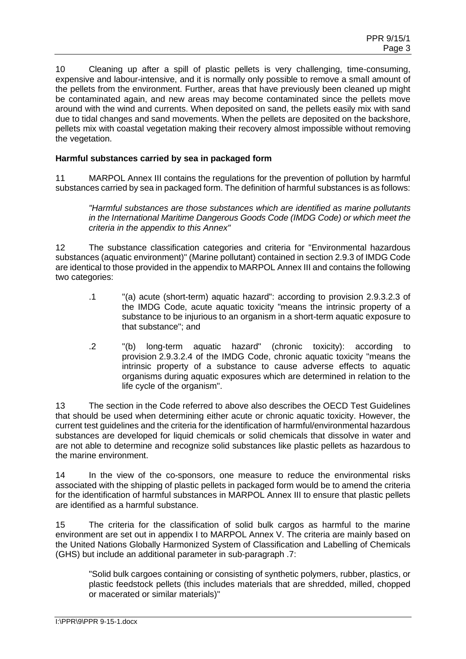10 Cleaning up after a spill of plastic pellets is very challenging, time-consuming, expensive and labour-intensive, and it is normally only possible to remove a small amount of the pellets from the environment. Further, areas that have previously been cleaned up might be contaminated again, and new areas may become contaminated since the pellets move around with the wind and currents. When deposited on sand, the pellets easily mix with sand due to tidal changes and sand movements. When the pellets are deposited on the backshore, pellets mix with coastal vegetation making their recovery almost impossible without removing the vegetation.

## **Harmful substances carried by sea in packaged form**

11 MARPOL Annex III contains the regulations for the prevention of pollution by harmful substances carried by sea in packaged form. The definition of harmful substances is as follows:

*"Harmful substances are those substances which are identified as marine pollutants in the International Maritime Dangerous Goods Code (IMDG Code) or which meet the criteria in the appendix to this Annex"*

12 The substance classification categories and criteria for "Environmental hazardous substances (aquatic environment)" (Marine pollutant) contained in section 2.9.3 of IMDG Code are identical to those provided in the appendix to MARPOL Annex III and contains the following two categories:

- .1 "(a) acute (short-term) aquatic hazard": according to provision 2.9.3.2.3 of the IMDG Code, acute aquatic toxicity "means the intrinsic property of a substance to be injurious to an organism in a short-term aquatic exposure to that substance"; and
- .2 "(b) long-term aquatic hazard" (chronic toxicity): according to provision 2.9.3.2.4 of the IMDG Code, chronic aquatic toxicity "means the intrinsic property of a substance to cause adverse effects to aquatic organisms during aquatic exposures which are determined in relation to the life cycle of the organism".

13 The section in the Code referred to above also describes the OECD Test Guidelines that should be used when determining either acute or chronic aquatic toxicity. However, the current test guidelines and the criteria for the identification of harmful/environmental hazardous substances are developed for liquid chemicals or solid chemicals that dissolve in water and are not able to determine and recognize solid substances like plastic pellets as hazardous to the marine environment.

14 In the view of the co-sponsors, one measure to reduce the environmental risks associated with the shipping of plastic pellets in packaged form would be to amend the criteria for the identification of harmful substances in MARPOL Annex III to ensure that plastic pellets are identified as a harmful substance.

15 The criteria for the classification of solid bulk cargos as harmful to the marine environment are set out in appendix I to MARPOL Annex V. The criteria are mainly based on the United Nations Globally Harmonized System of Classification and Labelling of Chemicals (GHS) but include an additional parameter in sub-paragraph .7:

"Solid bulk cargoes containing or consisting of synthetic polymers, rubber, plastics, or plastic feedstock pellets (this includes materials that are shredded, milled, chopped or macerated or similar materials)"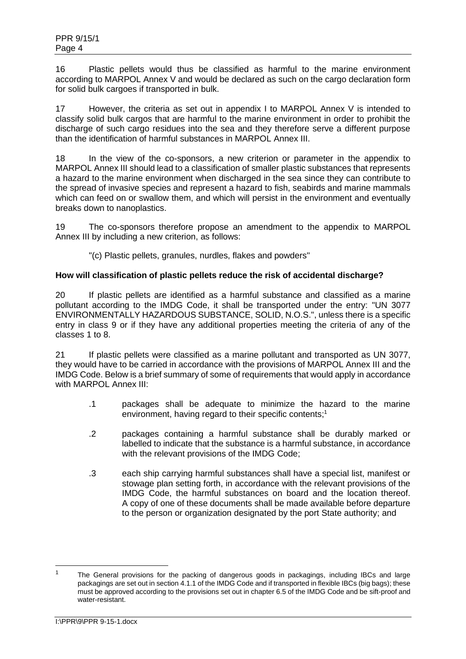16 Plastic pellets would thus be classified as harmful to the marine environment according to MARPOL Annex V and would be declared as such on the cargo declaration form for solid bulk cargoes if transported in bulk.

17 However, the criteria as set out in appendix I to MARPOL Annex V is intended to classify solid bulk cargos that are harmful to the marine environment in order to prohibit the discharge of such cargo residues into the sea and they therefore serve a different purpose than the identification of harmful substances in MARPOL Annex III.

18 In the view of the co-sponsors, a new criterion or parameter in the appendix to MARPOL Annex III should lead to a classification of smaller plastic substances that represents a hazard to the marine environment when discharged in the sea since they can contribute to the spread of invasive species and represent a hazard to fish, seabirds and marine mammals which can feed on or swallow them, and which will persist in the environment and eventually breaks down to nanoplastics.

19 The co-sponsors therefore propose an amendment to the appendix to MARPOL Annex III by including a new criterion, as follows:

"(c) Plastic pellets, granules, nurdles, flakes and powders"

## **How will classification of plastic pellets reduce the risk of accidental discharge?**

20 If plastic pellets are identified as a harmful substance and classified as a marine pollutant according to the IMDG Code, it shall be transported under the entry: "UN 3077 ENVIRONMENTALLY HAZARDOUS SUBSTANCE, SOLID, N.O.S.", unless there is a specific entry in class 9 or if they have any additional properties meeting the criteria of any of the classes 1 to 8.

21 If plastic pellets were classified as a marine pollutant and transported as UN 3077, they would have to be carried in accordance with the provisions of MARPOL Annex III and the IMDG Code. Below is a brief summary of some of requirements that would apply in accordance with MARPOL Annex III<sup>.</sup>

- .1 packages shall be adequate to minimize the hazard to the marine environment, having regard to their specific contents; 1
- .2 packages containing a harmful substance shall be durably marked or labelled to indicate that the substance is a harmful substance, in accordance with the relevant provisions of the IMDG Code;
- .3 each ship carrying harmful substances shall have a special list, manifest or stowage plan setting forth, in accordance with the relevant provisions of the IMDG Code, the harmful substances on board and the location thereof. A copy of one of these documents shall be made available before departure to the person or organization designated by the port State authority; and

<sup>&</sup>lt;sup>1</sup> The General provisions for the packing of dangerous goods in packagings, including IBCs and large packagings are set out in section 4.1.1 of the IMDG Code and if transported in flexible IBCs (big bags); these must be approved according to the provisions set out in chapter 6.5 of the IMDG Code and be sift-proof and water-resistant.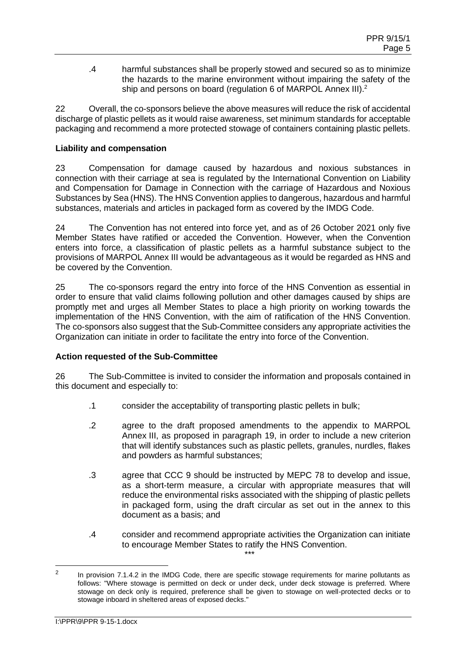.4 harmful substances shall be properly stowed and secured so as to minimize the hazards to the marine environment without impairing the safety of the ship and persons on board (regulation 6 of MARPOL Annex III).<sup>2</sup>

22 Overall, the co-sponsors believe the above measures will reduce the risk of accidental discharge of plastic pellets as it would raise awareness, set minimum standards for acceptable packaging and recommend a more protected stowage of containers containing plastic pellets.

# **Liability and compensation**

23 Compensation for damage caused by hazardous and noxious substances in connection with their carriage at sea is regulated by the International Convention on Liability and Compensation for Damage in Connection with the carriage of Hazardous and Noxious Substances by Sea (HNS). The HNS Convention applies to dangerous, hazardous and harmful substances, materials and articles in packaged form as covered by the IMDG Code.

24 The Convention has not entered into force yet, and as of 26 October 2021 only five Member States have ratified or acceded the Convention. However, when the Convention enters into force, a classification of plastic pellets as a harmful substance subject to the provisions of MARPOL Annex III would be advantageous as it would be regarded as HNS and be covered by the Convention.

25 The co-sponsors regard the entry into force of the HNS Convention as essential in order to ensure that valid claims following pollution and other damages caused by ships are promptly met and urges all Member States to place a high priority on working towards the implementation of the HNS Convention, with the aim of ratification of the HNS Convention. The co-sponsors also suggest that the Sub-Committee considers any appropriate activities the Organization can initiate in order to facilitate the entry into force of the Convention.

# **Action requested of the Sub-Committee**

26 The Sub-Committee is invited to consider the information and proposals contained in this document and especially to:

- .1 consider the acceptability of transporting plastic pellets in bulk;
- .2 agree to the draft proposed amendments to the appendix to MARPOL Annex III, as proposed in paragraph 19, in order to include a new criterion that will identify substances such as plastic pellets, granules, nurdles, flakes and powders as harmful substances;
- .3 agree that CCC 9 should be instructed by MEPC 78 to develop and issue, as a short-term measure, a circular with appropriate measures that will reduce the environmental risks associated with the shipping of plastic pellets in packaged form, using the draft circular as set out in the annex to this document as a basis; and
- .4 consider and recommend appropriate activities the Organization can initiate to encourage Member States to ratify the HNS Convention. \*\*\*

 $\mathcal{L}$ In provision 7.1.4.2 in the IMDG Code, there are specific stowage requirements for marine pollutants as follows: "Where stowage is permitted on deck or under deck, under deck stowage is preferred. Where stowage on deck only is required, preference shall be given to stowage on well-protected decks or to stowage inboard in sheltered areas of exposed decks."